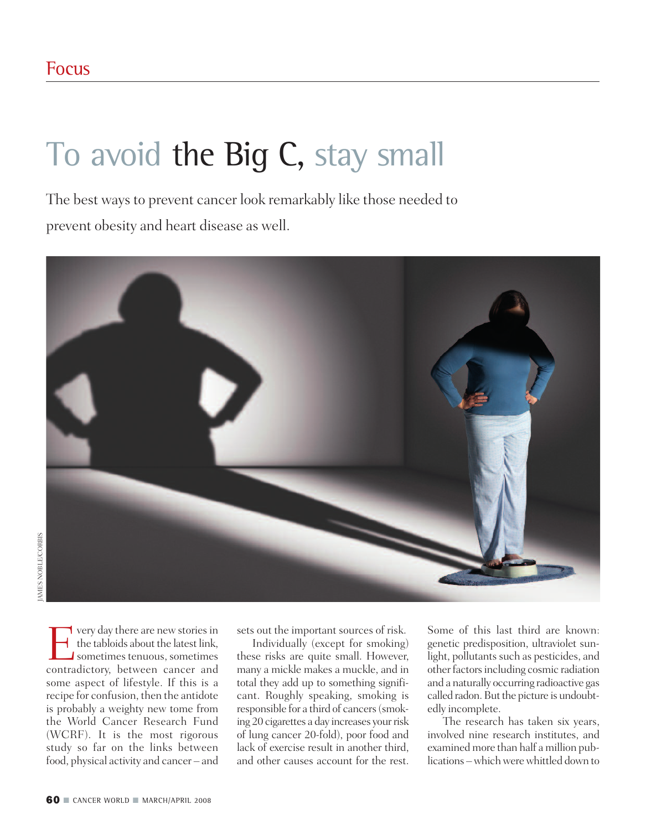## To avoid the Big C, stay small

The best ways to prevent cancer look remarkably like those needed to prevent obesity and heart disease as well.



The very day there are new stories in<br>the tabloids about the latest link,<br>sometimes tenuous, sometimes the tabloids about the latest link,  $\Box$  sometimes tenuous, sometimes contradictory, between cancer and some aspect of lifestyle. If this is a recipe for confusion, then the antidote is probably a weighty new tome from the World Cancer Research Fund (WCRF). It is the most rigorous study so far on the links between food, physical activity and cancer – and

sets out the important sources of risk.

Individually (except for smoking) these risks are quite small. However, many a mickle makes a muckle, and in total they add up to something significant. Roughly speaking, smoking is responsible for a third of cancers(smoking 20 cigarettes a day increases your risk of lung cancer 20-fold), poor food and lack of exercise result in another third, and other causes account for the rest.

Some of this last third are known: genetic predisposition, ultraviolet sunlight, pollutants such as pesticides, and other factors including cosmic radiation and a naturally occurring radioactive gas called radon. But the picture is undoubtedly incomplete.

The research has taken six years, involved nine research institutes, and examined more than half a million publications –whichwerewhittled down to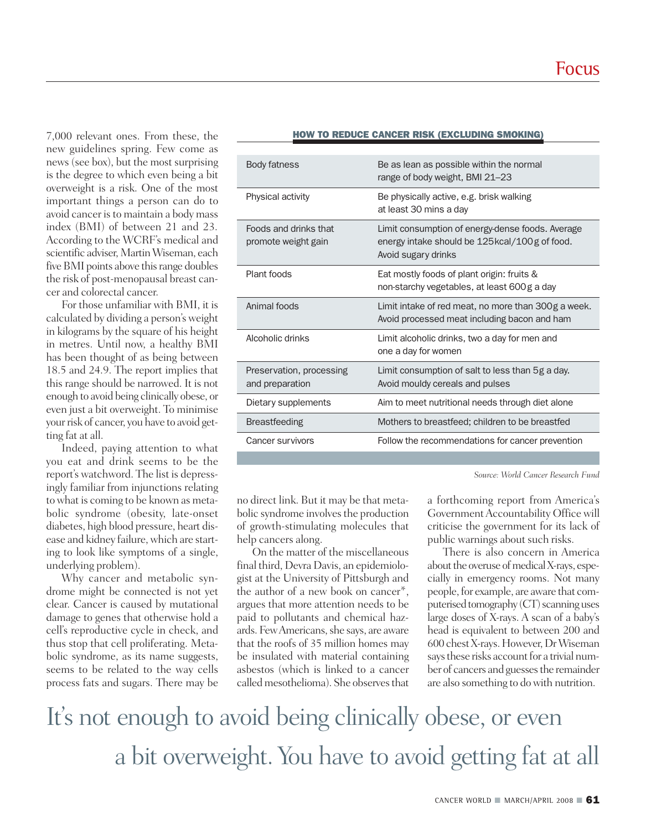7,000 relevant ones. From these, the new guidelines spring. Few come as news (see box), but the most surprising is the degree to which even being a bit overweight is a risk. One of the most important things a person can do to avoid cancer is to maintain a body mass index (BMI) of between 21 and 23. According to the WCRF's medical and scientific adviser, Martin Wiseman, each five BMI points above this range doubles the risk of post-menopausal breast cancer and colorectal cancer.

For those unfamiliar with BMI, it is calculated by dividing a person's weight in kilograms by the square of his height in metres. Until now, a healthy BMI has been thought of as being between 18.5 and 24.9. The report implies that this range should be narrowed. It is not enough to avoid being clinically obese, or even just a bit overweight. To minimise your risk of cancer, you have to avoid getting fat at all.

Indeed, paying attention to what you eat and drink seems to be the report's watchword. The list is depressingly familiar from injunctions relating towhat is coming to be known as metabolic syndrome (obesity, late-onset diabetes, high blood pressure, heart disease and kidney failure, which are starting to look like symptoms of a single, underlying problem).

Why cancer and metabolic syndrome might be connected is not yet clear. Cancer is caused by mutational damage to genes that otherwise hold a cell's reproductive cycle in check, and thus stop that cell proliferating. Metabolic syndrome, as its name suggests, seems to be related to the way cells process fats and sugars. There may be

| <b>Body fatness</b>                          | Be as lean as possible within the normal<br>range of body weight, BMI 21-23                                                |
|----------------------------------------------|----------------------------------------------------------------------------------------------------------------------------|
| Physical activity                            | Be physically active, e.g. brisk walking<br>at least 30 mins a day                                                         |
| Foods and drinks that<br>promote weight gain | Limit consumption of energy-dense foods. Average<br>energy intake should be 125 kcal/100 g of food.<br>Avoid sugary drinks |
| Plant foods                                  | Eat mostly foods of plant origin: fruits &<br>non-starchy vegetables, at least 600 g a day                                 |
| Animal foods                                 | Limit intake of red meat, no more than 300g a week.<br>Avoid processed meat including bacon and ham                        |
| Alcoholic drinks                             | Limit alcoholic drinks, two a day for men and<br>one a day for women                                                       |
| Preservation, processing<br>and preparation  | Limit consumption of salt to less than 5g a day.<br>Avoid mouldy cereals and pulses                                        |
| Dietary supplements                          | Aim to meet nutritional needs through diet alone                                                                           |
| <b>Breastfeeding</b>                         | Mothers to breastfeed; children to be breastfed                                                                            |
| <b>Cancer survivors</b>                      | Follow the recommendations for cancer prevention                                                                           |

## **HOW TO REDUCE CANCER RISK (EXCLUDING SMOKING)**

*Source: World Cancer Research Fund*

no direct link. But it may be that metabolic syndrome involves the production of growth-stimulating molecules that help cancers along.

On the matter of the miscellaneous final third, Devra Davis, an epidemiologist at the University of Pittsburgh and the author of a new book on cancer\*, argues that more attention needs to be paid to pollutants and chemical hazards. Few Americans, she says, are aware that the roofs of 35 million homes may be insulated with material containing asbestos (which is linked to a cancer called mesothelioma). She observes that

a forthcoming report from America's Government Accountability Office will criticise the government for its lack of public warnings about such risks.

There is also concern in America about the overuse of medical  $X$ -rays, especially in emergency rooms. Not many people, for example, are aware that computerised tomography (CT) scanning uses large doses of X-rays. A scan of a baby's head is equivalent to between 200 and 600 chestX-rays.However,DrWiseman says these risks account for a trivial number of cancers and guesses the remainder are also something to dowith nutrition.

It's not enough to avoid being clinically obese, or even a bit overweight. You have to avoid getting fat at all